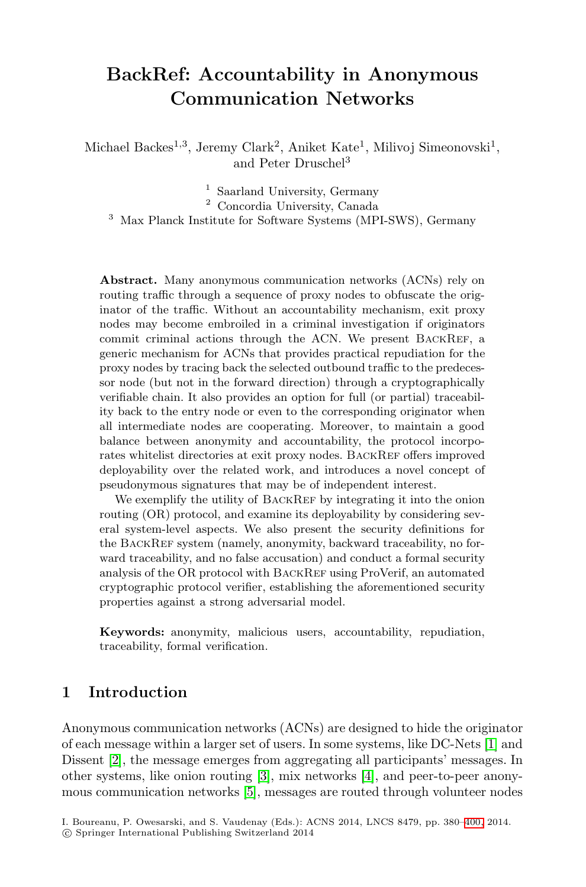# **BackRef: Accountability in Anonymous Communication Networks**

Michael Backes<sup>1,3</sup>, Jeremy Clark<sup>2</sup>, Aniket Kate<sup>1</sup>, Milivoj Simeonovski<sup>1</sup>, and Peter Druschel<sup>3</sup>

> <sup>1</sup> Saarland University, Germany <sup>2</sup> Concordia University, Canada

<sup>3</sup> Max Planck Institute for Software Systems (MPI-SWS), Germany

**Abstract.** Many anonymous communication networks (ACNs) rely on routing traffic through a sequence of proxy nodes to obfuscate the originator of the traffic. Without an accountability mechanism, exit proxy nodes may become embroiled in a criminal investigation if originators commit criminal actions through the ACN. We present BACKREF, a generic mechanism for ACNs that provides practical repudiation for the proxy nodes by tracing back the selected outbound traffic to the predecessor node (but not in the forward direction) through a cryptographically verifiable chain. It also provides an option for full (or partial) traceability back to the entry node or even to the corresponding originator when all intermediate nodes are cooperating. Moreover, to maintain a good balance between anonymity and accountability, the protocol incorporates whitelist directories at exit proxy nodes. BACKREF offers improved deployability over the related work, and introduces a novel concept of pseudonymous signatures that may be of independent interest.

We exemplify the utility of BACKREF by integrating it into the onion routing (OR) protocol, and examine its deployability by considering several system-level aspects. We also present the security definitions for the BackRef system (namely, anonymity, backward traceability, no forward traceability, and no false accusation) and conduct a formal security analysis of the OR protocol with BACKREF using ProVerif, an automated cryptographic protocol verifier, establishing the aforementioned security properties against a strong adversarial model.

**Keywords:** anonymity, malicious users, accounta[bil](#page-18-0)ity, repudiation, traceabilit[y,](#page-18-1) formal verificatio[n.](#page-18-2)

# **1 Introduction**

Anonymous communication networks (ACNs) are designed to hide the originator of each message within a larger set of users. In some systems, like DC-Nets [1] and Dissent [2], the message emerges from aggregating all participants' messages. In other systems, like onion routing [3], mix networks [4], and peer-to-peer anonymous communication networks [5], messages are routed through volunteer nodes

I. Boureanu, P. Owesarski, and S. Vaudenay (Eds.): ACNS 2014, LNCS 8479, pp. 380–400, 2014. -c Springer International Publishing Switzerland 2014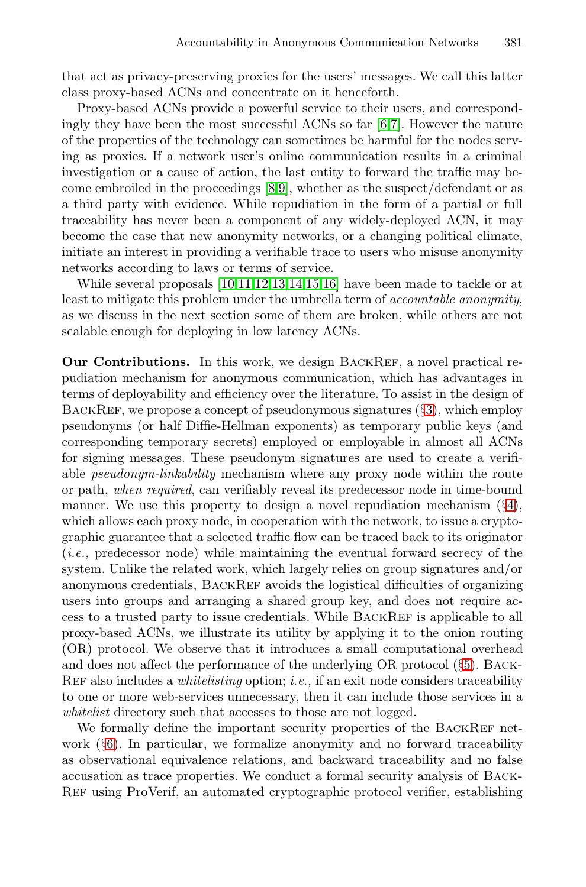that act as privac[y-](#page-18-3)[pr](#page-18-4)eserving proxies for the users' messages. We call this latter class proxy-based ACNs and concentrate on it henceforth.

Proxy-based ACNs provide a powerful service to their users, and correspondingly they have been the most successful ACNs so far [6,7]. However the nature of the properties of the technology can sometimes be harmful for the nodes serving as pr[oxi](#page-18-5)[es.](#page-18-6) [If](#page-18-7) [a n](#page-18-8)[et](#page-18-9)[wor](#page-18-10)[k u](#page-18-11)ser's online communication results in a criminal investigation or a cause of action, the last entity to forward the traffic may become embroiled in the proceedings [8,9], whether as the suspect/defendant or as a third party with evidence. While repudiation in the form of a partial or full traceability has never been a component of any widely-deployed ACN, it may become the case that new anonymity networks, or a changing political climate, initiate an interest in providing a verifiable trace to users who misuse anonymity networks according to laws or terms of service.

While several proposals [10,11,12,13,14,15[,16](#page-4-0)] have been made to tackle or at least to mitigate this problem under the umbrella term of *accountable anonymity*, as we discuss in the next section some of them are broken, while others are not scalable enough for deploying in low latency ACNs.

**Our Contributions.** In this work, we design BACKREF, a novel practical repudiation mechanism for anonymous communication, whi[ch](#page-7-0) has advantages in terms of deployability and efficiency over the literature. To assist in the design of BACKREF, we propose a concept of pseudonymous signatures  $(\S3)$ , which employ pseudonyms (or half Diffie-Hellman exponents) as temporary public keys (and corresponding temporary secrets) employed or employable in almost all ACNs for signing messages. These pseudonym signatures are used to create a verifiable *pseudonym-linkability* mechanism where any proxy node within the route or path, *when required*, can verifiably reveal its predecessor node in time-bound manner. We use this property to design a novel repudiation mechanism (§4), which allows each proxy node, in cooperation with the network, to issue a cryptographic guarantee that a selected traffic flow can be [tr](#page-12-0)aced back to its originator (*i.e.,* predecessor node) while maintaining the eventual forward secrecy of the system. Unlike the related work, which largely relies on group signatures and/or anonymous credentials, BACKREF avoids the logistical difficulties of organizing users into groups and arranging a shared group key, and does not require access to a trusted party to issue credentials. While BackRef is applicable to all proxy-based ACNs, we illustrate its utility by applying it to the onion routing (OR) protocol. We observe that it introduces a small computational overhead and does not affect the performance of the underlying OR protocol  $(\S_5)$ . BACK-Ref also includes a *whitelisting* option; *i.e.,* if an exit node considers traceability to one or more web-services unnecessary, then it can include those services in a *whitelist* directory such that accesses to those are not logged.

We formally define the important security properties of the BACKREF network (§6). In particular, we formalize anonymity and no forward traceability as observational equivalence relations, and backward traceability and no false accusation as trace properties. We conduct a formal security analysis of Back-Ref using ProVerif, an automated cryptographic protocol verifier, establishing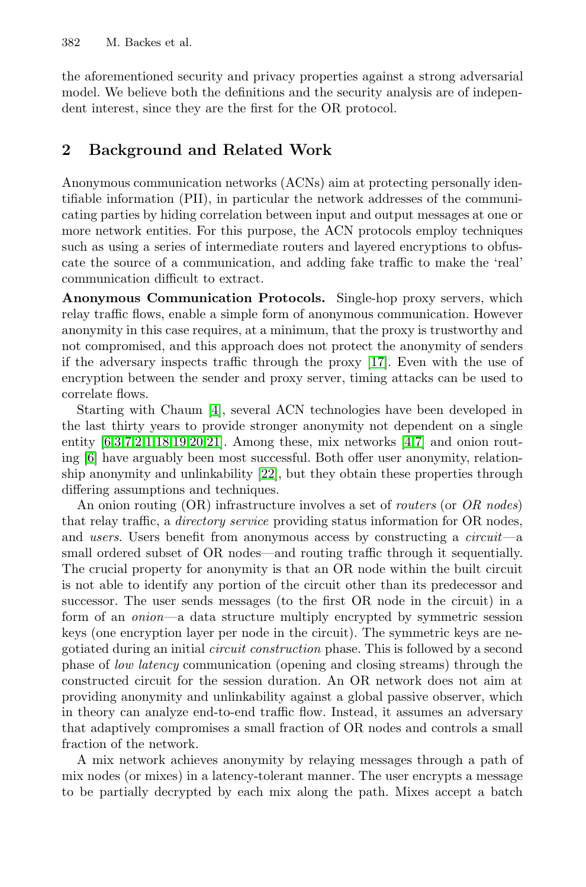the aforementioned security and privacy properties against a strong adversarial model. We believe both the definitions and the security analysis are of independent interest, since they are the first for the OR protocol.

# **2 Background and Related Work**

Anonymous communication networks (ACNs) aim at protecting personally identifiable information (PII), in particular the network addresses of the communicating parties by hiding correlation between input and output messages at one or more network entities. For this purpose, the ACN protocols employ techniques such as using a series of intermedi[ate](#page-18-12) routers and layered encryptions to obfuscate the source of a communication, and adding fake traffic to make the 'real' commu[nic](#page-18-2)ation difficult to extract.

**Anonymous Communication Protocols.** Single-hop proxy servers, which [r](#page-19-0)[ela](#page-19-1)[y t](#page-19-2)[raffi](#page-19-3)c flows, enable a simple form o[f](#page-18-2) [an](#page-18-13)onymous communication. However anonymity in this case requires, at a minimum, that the proxy is trustworthy and not compromise[d, a](#page-19-4)nd this approach does not protect the anonymity of senders if the adversary inspects traffic through the proxy [17]. Even with the use of encryption between the sender and proxy server, timing attacks can be used to correlate flows.

Starting with Chaum [4], several ACN technologies have been developed in the last thirty years to provide stronger anonymity not dependent on a single entity  $[6,3,7,2,1,18,19,20,21]$ . Among these, mix networks  $[4,7]$  and onion routing [6] have arguably been most successful. Both offer user anonymity, relationship anonymity and unlinkability [22], but they obtain these properties through differing assumptions and techniques.

An onion routing (OR) infrastructure involves a set of *routers* (or *OR nodes*) that relay traffic, a *directory service* providing status information for OR nodes, and *users*. Users benefit from anonymous access by constructing a *circuit*—a small ordered subset of OR nodes—and routing traffic through it sequentially. The crucial property for anonymity is that an OR node within the built circuit is not able to identify any portion of the circuit other than its predecessor and successor. The user sends messages (to the first OR node in the circuit) in a form of an *onion*—a data structure multiply encrypted by symmetric session keys (one encryption layer per node in the circuit). The symmetric keys are negotiated during an initial *circuit construction* phase. This is followed by a second phase of *low latency* communication (opening and closing streams) through the constructed circuit for the session duration. An OR network does not aim at providing anonymity and unlinkability against a global passive observer, which in theory can analyze end-to-end traffic flow. Instead, it assumes an adversary that adaptively compromises a small fraction of OR nodes and controls a small fraction of the network.

A mix network achieves anonymity by relaying messages through a path of mix nodes (or mixes) in a latency-tolerant manner. The user encrypts a message to be partially decrypted by each mix along the path. Mixes accept a batch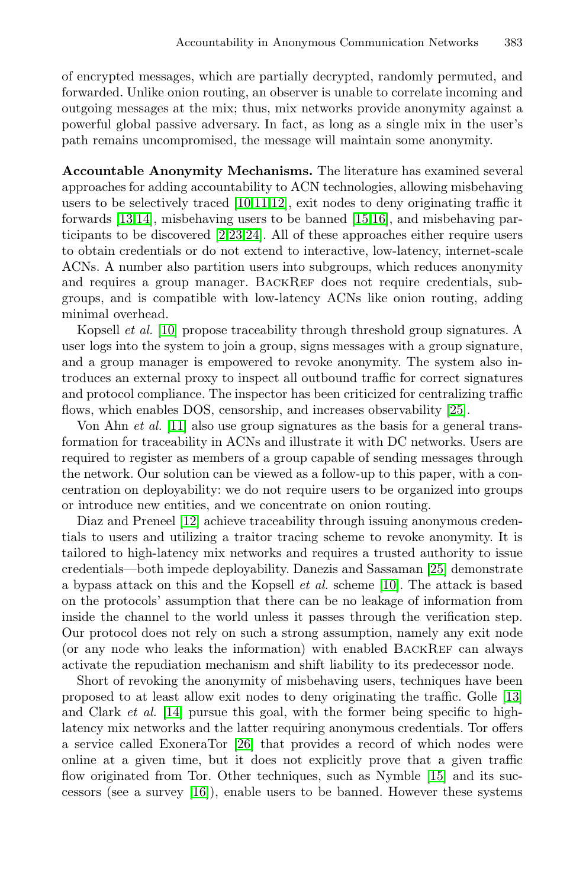of encrypte[d m](#page-18-5)[ess](#page-18-6)[age](#page-18-7)s, which are partially decrypted, randomly permuted, and forwarded. Unlike onion routing, [an](#page-18-10) [ob](#page-18-11)server is unable to correlate incoming and outgoing [m](#page-18-14)[es](#page-19-5)[sag](#page-19-6)es at the mix; thus, mix networks provide anonymity against a powerful global passive adversary. In fact, as long as a single mix in the user's path remains uncompromised, the message will maintain some anonymity.

**Accountable Anonymity Mechanisms.** The literature has examined several approaches for adding accountability to ACN technologies, allowing misbehaving [us](#page-18-5)ers to be selectively traced [10,11,12], exit nodes to deny originating traffic it forwards [13,14], misbehaving users to be banned [15,16], and misbehaving participants to be discovered [2,23,24]. All of these approaches either require users to obtain credentials or do not extend to interactive, low-latency, internet-scale ACNs. A number also partition users into subgroups, which reduces anonymity and requires a group manager. BACKREF doe[s n](#page-19-7)ot require credentials, sub[grou](#page-18-6)ps, and is compatible with low-latency ACNs like onion routing, adding minimal overhead.

Kopsell *et al.* [10] propose traceability through threshold group signatures. A user logs into the system to join a group, signs messages with a group signature, and a group manager is empowered to revoke anonymity. The system also introduces an external proxy to inspect all outbound traffic for correct signatures an[d p](#page-18-7)rotocol compliance. The inspector has been criticized for centralizing traffic flows, which enables DOS, censorship, and increases observability [25].

Von Ahn *et al.* [11] also use group signatures as the basis for a general transformation for traceability in ACNs and illustr[ate](#page-19-7) it with DC networks. Users are required to register as members of a [grou](#page-18-5)p capable of sending messages through the network. Our solution can be viewed as a follow-up to this paper, with a concentration on deployability: we do not require users to be organized into groups or introduce new entities, and we concentrate on onion routing.

Diaz and Preneel [12] achieve traceability through issuing anonymous credentials to users and utilizing a traitor tracing scheme to revoke anonymity. It is tailored to high-latency mix networks and requires a trusted authority to issue credentials—both impede deployability. Danezis and Sassa[man](#page-18-8) [25] demonstrate [a b](#page-18-9)ypass attack on this and the Kopsell *et al.* scheme [10]. The attack is based on the protocols' assumption that there can be no leakage of information from inside the c[han](#page-19-8)nel to the world unless it passes through the verification step. Our protocol does not rely on such a strong assumption, namely any exit node (or any node who leaks [th](#page-18-10)e information) with enabled BACKREF can always acti[vate](#page-18-11) the repudiation mechanism and shift liability to its predecessor node.

Short of revoking the anonymity of misbehaving users, techniques have been proposed to at least allow exit nodes to deny originating the traffic. Golle [13] and Clark *et al.* [14] pursue this goal, with the former being specific to highlatency mix networks and the latter requiring anonymous credentials. Tor offers a service called ExoneraTor [26] that provides a record of which nodes were online at a given time, but it does not explicitly prove that a given traffic flow originated from Tor. Other techniques, such as Nymble [15] and its successors (see a survey [16]), enable users to be banned. However these systems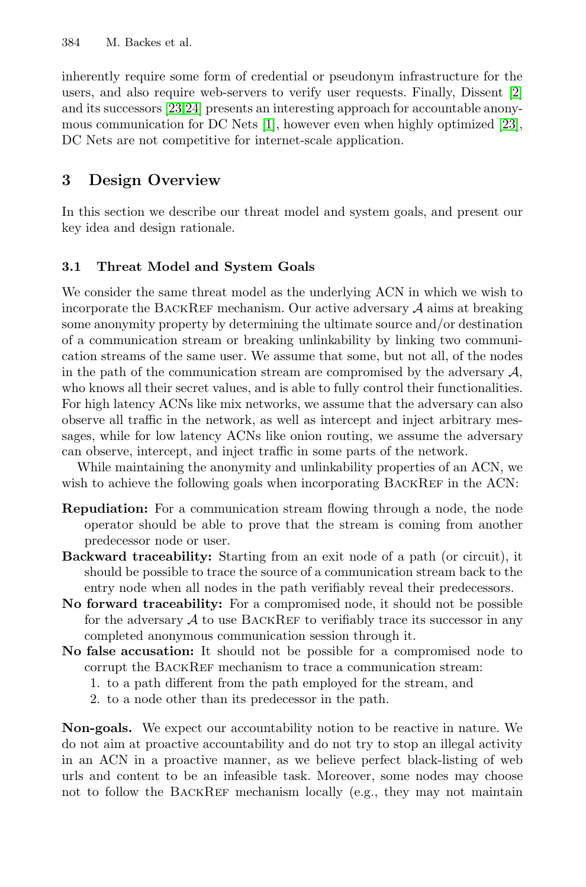<span id="page-4-0"></span>inherently require some form of credential or pseudonym infrastructure for the users, and also require web-servers to verify user requests. Finally, Dissent [2] and its successors [23,24] presents an interesting approach for accountable anonymous communication for DC Nets [1], however even when highly optimized [23], DC Nets are not competitive for internet-scale application.

# **3 Design Overview**

In this section we describe our threat model and system goals, and present our key idea and design rationale.

#### **3.1 Threat Model and System Goals**

We consider the same threat model as the underlying ACN in which we wish to incorporate the BACKREF mechanism. Our active adversary  $A$  aims at breaking some anonymity property by determining the ultimate source and/or destination of a communication stream or breaking unlinkability by linking two communication streams of the same user. We assume that some, but not all, of the nodes in the path of the communication stream are compromised by the adversary  $A$ , who knows all their secret values, and is able to fully control their functionalities. For high latency ACNs like mix networks, we assume that the adversary can also observe all traffic in the network, as well as intercept and inject arbitrary messages, while for low latency ACNs like onion routing, we assume the adversary can observe, intercept, and inject traffic in some parts of the network.

While maintaining the anonymity and unlinkability properties of an ACN, we wish to achieve the following goals when incorporating BACKREF in the ACN:

- **Repudiation:** For a communication stream flowing through a node, the node operator should be able to prove that the stream is coming from another predecessor node or user.
- **Backward traceability:** Starting from an exit node of a path (or circuit), it should be possible to trace the source of a communication stream back to the entry node when all nodes in the path verifiably reveal their predecessors.
- **No forward traceability:** For a compromised node, it should not be possible for the adversary  $\mathcal A$  to use BACKREF to verifiably trace its successor in any completed anonymous communication session through it.
- **No false accusation:** It should not be possible for a compromised node to corrupt the BACKREF mechanism to trace a communication stream:
	- 1. to a path different from the path employed for the stream, and
	- 2. to a node other than its predecessor in the path.

**Non-goals.** We expect our accountability notion to be reactive in nature. We do not aim at proactive accountability and do not try to stop an illegal activity in an ACN in a proactive manner, as we believe perfect black-listing of web urls and content to be an infeasible task. Moreover, some nodes may choose not to follow the BackRef mechanism locally (e.g., they may not maintain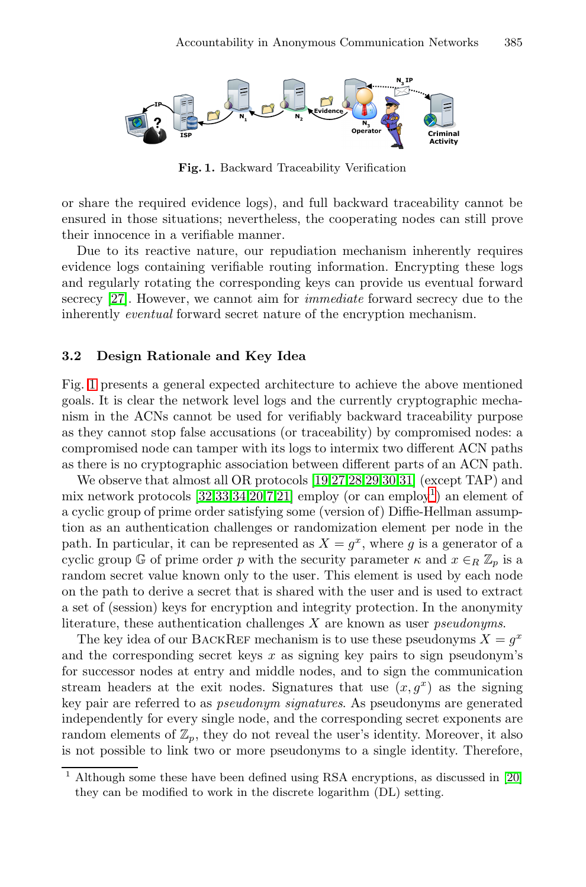<span id="page-5-1"></span>

**Fig. 1.** Backward Traceability Verification

or share the required evidence logs), and full backward traceability cannot be ensured in those situations; nevertheless, the cooperating nodes can still prove their innocence in a verifiable manner.

Due to its reactive nature, our repudiation mechanism inherently requires evidence logs containing verifiable routing information. Encrypting these logs and regularly rotating the corresponding keys can provide us eventual forward secrecy [27]. However, we cannot aim for *immediate* forward secrecy due to the inherently *eventual* forward secret nature of the encryption mechanism.

#### **3.2 Design Rational[e a](#page-19-1)[nd](#page-19-9) [K](#page-19-10)[ey](#page-19-11) [Id](#page-19-12)[ea](#page-19-13)**

Fig. [1](#page-19-14) [p](#page-19-14)[rese](#page-19-15)[nt](#page-19-16)[s](#page-19-2) [a](#page-19-2) [g](#page-18-13)[ene](#page-19-3)ral expected architectu[re](#page-5-0) to achieve the above mentioned goals. It is clear the network level logs and the currently cryptographic mechanism in the ACNs cannot be used for verifiably backward traceability purpose as they cannot stop false accusations (or traceability) by compromised nodes: a compromised node can tamper with its logs to intermix two different ACN paths as there is no cryptographic association between different parts of an ACN path.

<span id="page-5-0"></span>We observe that almost all OR protocols [19,27,28,29,30,31] (except TAP) and mix network protocols  $[32,33,34,20,7,21]$  employ (or can employ<sup>1</sup>) an element of a cyclic group of prime order satisfying some (version of) Diffie-Hellman assumption as an authentication challenges or randomization element per node in the path. In particular, it can be represented as  $X = g^x$ , where g is a generator of a cyclic group G of prime order p with the security parameter  $\kappa$  and  $x \in_R \mathbb{Z}_p$  is a random secret value known only to the user. This element is used by each node on the path to derive a secret that is shared with the user and is used to extract a set of (session) keys for encryption and integrity protection. In the anonymity literature, these authentication challenges X are known as user *pseudonyms*.

The key idea of our BACKREF mechanism is to use these pseudonyms  $X = g^x$ and the corresponding secret keys  $x$  as signing key pairs [to](#page-19-2) sign pseudonym's for successor nodes at entry and middle nodes, and to sign the communication stream headers at the exit nodes. Signatures that use  $(x, g^x)$  as the signing key pair are referred to as *pseudonym signatures*. As pseudonyms are generated independently for every single node, and the corresponding secret exponents are random elements of  $\mathbb{Z}_p$ , they do not reveal the user's identity. Moreover, it also is not possible to link two or more pseudonyms to a single identity. Therefore,

<sup>1</sup> Although some these have been defined using RSA encryptions, as discussed in [20] they can be modified to work in the discrete logarithm (DL) setting.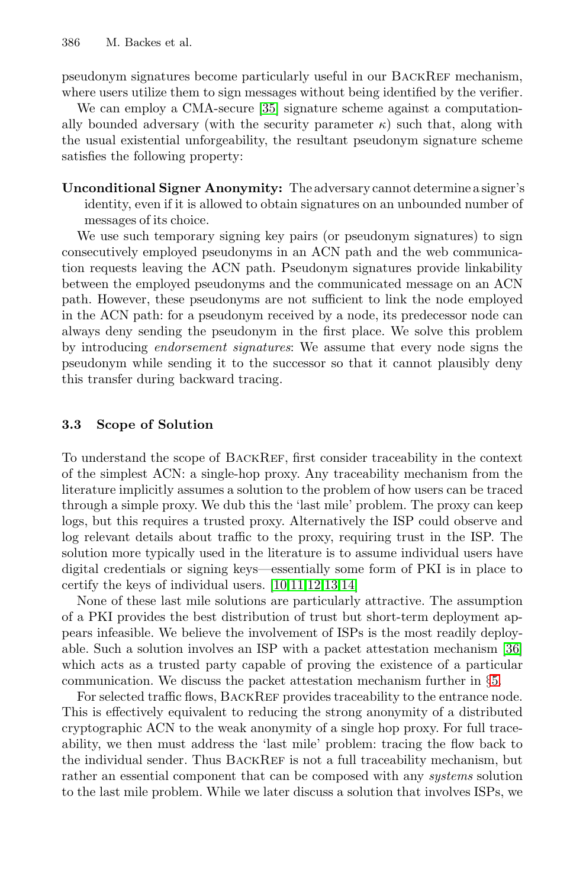pseudonym signatures become particularly useful in our BackRef mechanism, where users utilize them to sign messages without being identified by the verifier.

We can employ a CMA-secure [35] signature scheme against a computationally bounded adversary (with the security parameter  $\kappa$ ) such that, along with the usual existential unforgeability, the resultant pseudonym signature scheme satisfies the following property:

**Unconditional Signer Anonymity:** The adversary cannot determine a signer's identity, even if it is allowed to obtain signatures on an unbounded number of messages of its choice.

We use such temporary signing key pairs (or pseudonym signatures) to sign consecutively employed pseudonyms in an ACN path and the web communication requests leaving the ACN path. Pseudonym signatures provide linkability between the employed pseudonyms and the communicated message on an ACN path. However, these pseudonyms are not sufficient to link the node employed in the ACN path: for a pseudonym received by a node, its predecessor node can always deny sending the pseudonym in the first place. We solve this problem by introducing *endorsement signatures*: We assume that every node signs the pseudonym while sending it to the successor so that it cannot plausibly deny this transfer during backward tracing.

#### **3.3 Scope of Solution**

To understand th[e sc](#page-18-5)[op](#page-18-6)[e of](#page-18-7) [B](#page-18-8)[ack](#page-18-9)Ref, first consider traceability in the context of the simplest ACN: a single-hop proxy. Any traceability mechanism from the literature implicitly assumes a solution to the problem of how users can be traced through a simple proxy. We dub this the 'last mile' problem. The proxy can keep logs, but this requires a trusted proxy. Alternatively the I[SP](#page-19-17) could observe and log relevant details about traffic to the proxy, requiring trust in the ISP. The solution more typically used in the literature is to assu[me](#page-12-0) individual users have digital credentials or signing keys—essentially some form of PKI is in place to certify the keys of individual users. [10,11,12,13,14]

None of these last mile solutions are particularly attractive. The assumption of a PKI provides the best distribution of trust but short-term deployment appears infeasible. We believe the involvement of ISPs is the most readily deployable. Such a solution involves an ISP with a packet attestation mechanism [36] which acts as a trusted party capable of proving the existence of a particular communication. We discuss the packet attestation mechanism further in §5.

For selected traffic flows, BACKREF provides traceability to the entrance node. This is effectively equivalent to reducing the strong anonymity of a distributed cryptographic ACN to the weak anonymity of a single hop proxy. For full traceability, we then must address the 'last mile' problem: tracing the flow back to the individual sender. Thus BACKREF is not a full traceability mechanism, but rather an essential component that can be composed with any *systems* solution to the last mile problem. While we later discuss a solution that involves ISPs, we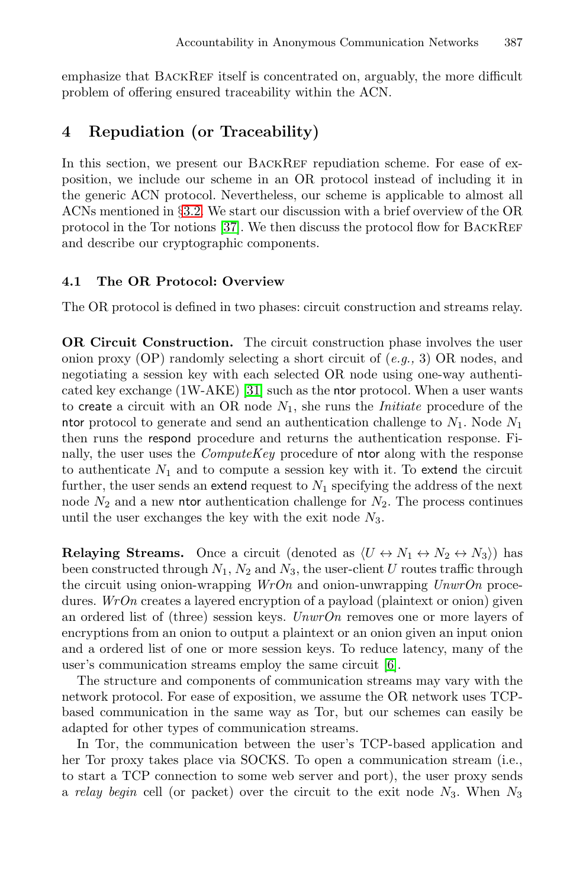<span id="page-7-0"></span>emphasize that BACKREF itself is concentrated on, arguably, the more difficult pr[oble](#page-5-1)m [of](#page-19-18) [o](#page-19-18)ffering ensured traceability within the ACN.

# **4 Repudiation (or Traceability)**

In this section, we present our BACKREF repudiation scheme. For ease of exposition, we include our scheme in an OR protocol instead of including it in the generic ACN protocol. Nevertheless, our scheme is applicable to almost all ACNs mentioned in §3.2. We start our discussion with a brief overview of the OR protocol in the Tor notions [37]. We then discuss the protocol flow for BackRef and describe our cryptographic components.

### **4.1 The OR Protocol: Overview**

The OR protocol is defined in two phases: circuit construction and streams relay.

**OR Circuit Construction.** The circuit construction phase involves the user onion proxy (OP) randomly selecting a short circuit of (*e.g.,* 3) OR nodes, and negotiating a session key with each selected OR node using one-way authenticated key exchange (1W-AKE) [31] such as the ntor protocol. When a user wants to create a circuit with an OR node  $N_1$ , she runs the *Initiate* procedure of the ntor protocol to generate and send an authentication challenge to  $N_1$ . Node  $N_1$ then runs the respond procedure and returns the authentication response. Finally, the user uses the *ComputeKey* procedure of ntor along with the response to authenticate  $N_1$  and to compute a session key with it. To extend the circuit further, the user sends an extend request to  $N_1$  specifying the address of the next node  $N_2$  and a new ntor authentication challenge for  $N_2$ . The process continues until the user exchanges the key with the exit node  $N_3$ .

**Relaying Streams.** Once a circuit [\(](#page-18-15)denoted as  $\langle U \leftrightarrow N_1 \leftrightarrow N_2 \leftrightarrow N_3 \rangle$ ) has been constructed through  $N_1$ ,  $N_2$  and  $N_3$ , the user-client U routes traffic through the circuit using onion-wrapping *WrOn* and onion-unwrapping *UnwrOn* procedures. *WrOn* creates a layered encryption of a payload (plaintext or onion) given an ordered list of (three) session keys. *UnwrOn* removes one or more layers of encryptions from an onion to output a plaintext or an onion given an input onion and a ordered list of one or more session keys. To reduce latency, many of the user's communication streams employ the same circuit [6].

The structure and components of communication streams may vary with the network protocol. For ease of exposition, we assume the OR network uses TCPbased communication in the same way as Tor, but our schemes can easily be adapted for other types of communication streams.

In Tor, the communication between the user's TCP-based application and her Tor proxy takes place via SOCKS. To open a communication stream (i.e., to start a TCP connection to some web server and port), the user proxy sends a *relay begin* cell (or packet) over the circuit to the exit node  $N_3$ . When  $N_3$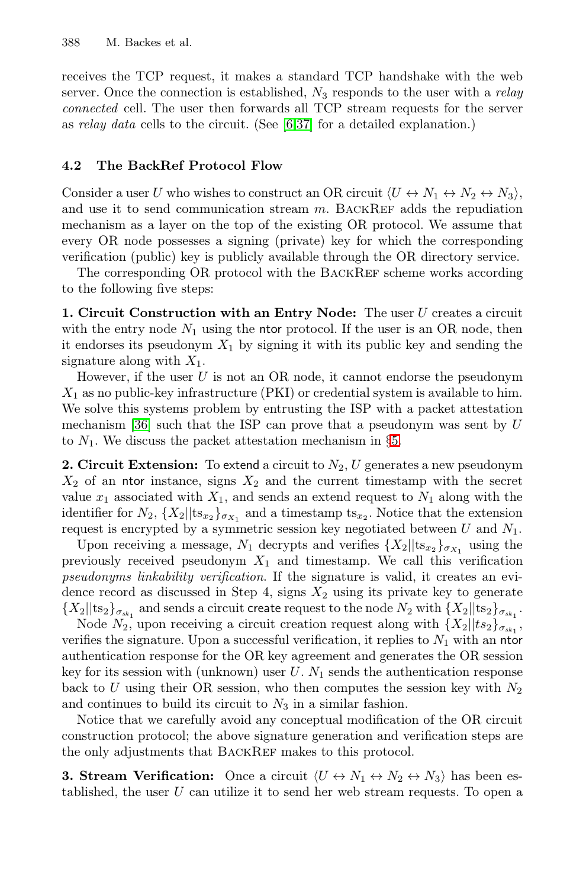receives the TCP request, it makes a standard TCP handshake with the web server. Once the connection is established, N<sup>3</sup> responds to the user with a *relay connected* cell. The user then forwards all TCP stream requests for the server as *relay data* cells to the circuit. (See [6,37] for a detailed explanation.)

#### **4.2 The BackRef Protocol Flow**

Consider a user U who wishes to construct an OR circuit  $\langle U \leftrightarrow N_1 \leftrightarrow N_2 \leftrightarrow N_3 \rangle$ , and use it to send communication stream  $m$ . BACKREF adds the repudiation mechanism as a layer on the top of the existing OR protocol. We assume that every OR node possesses a signing (private) key for which the corresponding verification (public) key is publicly available through the OR directory service.

The corresponding OR protocol with the BACKREF scheme works according to the following five steps:

**1. Circuit Construction with an E[nt](#page-12-0)ry Node:** The user U creates a circuit with the entry node  $N_1$  using the ntor protocol. If the user is an OR node, then it endorses its pseudonym  $X_1$  by signing it with its public key and sending the signature along with  $X_1$ .

However, if the user  $U$  is not an OR node, it cannot endorse the pseudonym  $X_1$  as no public-key infrastructure (PKI) or credential system is available to him. We solve this systems problem by entrusting the ISP with a packet attestation mechanism [36] such that the ISP can prove that a pseudonym was sent by  $U$ to  $N_1$ . We discuss the packet attestation mechanism in §5.

**2. Circuit Extension:** To extend a circuit to  $N_2$ ,  $U$  generates a new pseudonym  $X_2$  of an ntor instance, signs  $X_2$  and the current timestamp with the secret value  $x_1$  associated with  $X_1$ , and sends an extend request to  $N_1$  along with the identifier for  $N_2$ ,  $\{X_2 \mid |ts_{x_2}\}_{\sigma_{X_1}}$  and a timestamp  $ts_{x_2}$ . Notice that the extension request is encrypted by a symmetric session key negotiated between  $U$  and  $N_1$ .

Upon receiving a message,  $N_1$  decrypts and verifies  $\{X_2 \mid (t s_{x_2}\}_{\sigma_{X_1}})$  using the previously received pseudonym  $X_1$  and timestamp. We call this verification *pseudonyms linkability verification*. If the signature is valid, it creates an evidence record as discussed in Step 4, signs  $X_2$  using its private key to generate  ${X_2||\text{ts}_2}_{\sigma_{sk_1}}$  and sends a circuit create request to the node  $N_2$  with  ${X_2||\text{ts}_2}_{\sigma_{sk_1}}$ .

Node  $N_2$ , upon receiving a circuit creation request along with  $\{X_2 \mid |ts_2\}_{\sigma_{sk_1}}$ , verifies the signature. Upon a successful verification, it replies to  $N_1$  with an ntor authentication response for the OR key agreement and generates the OR session key for its session with (unknown) user  $U$ .  $N_1$  sends the authentication response back to  $U$  using their OR session, who then computes the session key with  $N_2$ and continues to build its circuit to  $N_3$  in a similar fashion.

Notice that we carefully avoid any conceptual modification of the OR circuit construction protocol; the above signature generation and verification steps are the only adjustments that BACKREF makes to this protocol.

**3. Stream Verification:** Once a circuit  $\langle U \leftrightarrow N_1 \leftrightarrow N_2 \leftrightarrow N_3 \rangle$  has been established, the user U can utilize it to send her web stream requests. To open a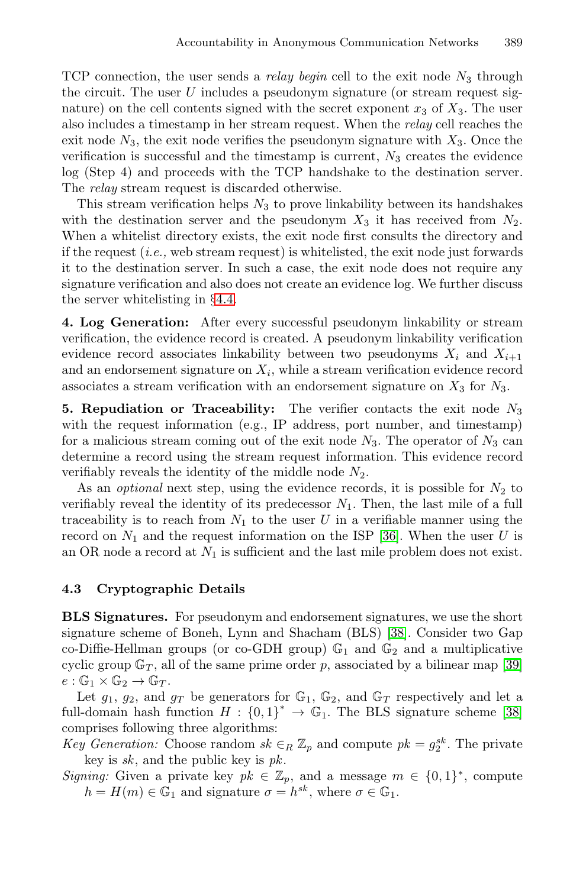TCP connection, the user sends a *relay begin* cell to the exit node  $N_3$  through the circuit. The user  $U$  includes a pseudonym signature (or stream request signature) on the cell contents signed with the secret exponent  $x_3$  of  $X_3$ . The user also includes a timestamp in her stream request. When the *relay* cell reaches the exit node  $N_3$ , the exit node verifies the pseudonym signature with  $X_3$ . Once the verification is successful and the timestamp is current,  $N_3$  creates the evidence log (Ste[p 4\)](#page-11-0) and proceeds with the TCP handshake to the destination server. The *relay* stream request is discarded otherwise.

This stream verification helps  $N_3$  to prove linkability between its handshakes with the destination server and the pseudonym  $X_3$  it has received from  $N_2$ . When a whitelist directory exists, the exit node first consults the directory and if the request (*i.e.,* web stream request) is whitelisted, the exit node just forwards it to the destination server. In such a case, the exit node does not require any signature verification and also does not create an evidence log. We further discuss the server whitelisting in §4.4.

**4. Log Generation:** After every successful pseudonym linkability or stream verification, the evidence record is created. A pseudonym linkability verification evidence record associates linkability between two pseudonyms  $X_i$  and  $X_{i+1}$ and an endorsement signature on  $X_i$ , while a stream verification evidence record associates a stream verification with an endorsement signature on  $X_3$  for  $N_3$ .

**5. Repudiation or Traceability:** The verifier contacts the exit node  $N_3$ with the request information (e.g., [IP](#page-19-17) [a](#page-19-17)ddress, port number, and timestamp) for a malicious stream coming out of the exit node  $N_3$ . The operator of  $N_3$  can determine a record using the stream request information. This evidence record verifiably reveals the identity of the middle node  $N_2$ .

As an *optional* next step, using the evidence records, it is possible for  $N_2$  to verifiably reveal the identity of its pre[dec](#page-19-19)essor  $N_1$ . Then, the last mile of a full traceability is to reach from  $N_1$  to the user U in a verifiable manner using the record on  $N_1$  and the request information on the ISP [36][. W](#page-20-0)hen the user U is an OR node a record at  $N_1$  is sufficient and the last mile problem does not exist.

#### **4.3 Cryptographic Details**

**BLS Signatures.** For pseudonym and endorsement signatures, we use the short signature scheme of Boneh, Lynn and Shacham (BLS) [38]. Consider two Gap co-Diffie-Hellman groups (or co-GDH group)  $\mathbb{G}_1$  and  $\mathbb{G}_2$  and a multiplicative cyclic group  $\mathbb{G}_T,$  all of the same prime order  $p,$  associated by a bilinear map  $[39]$  $e : \mathbb{G}_1 \times \mathbb{G}_2 \to \mathbb{G}_T$ .

Let  $g_1, g_2$ , and  $g_T$  be generators for  $\mathbb{G}_1$ ,  $\mathbb{G}_2$ , and  $\mathbb{G}_T$  respectively and let a full-domain hash function  $H: \{0,1\}^* \to \mathbb{G}_1$ . The BLS signature scheme [38] comprises following three algorithms:

*Key Generation:* Choose random  $sk \in_R \mathbb{Z}_p$  and compute  $pk = g_2^{sk}$ . The private key is *sk*, and the public key is *pk* .

*Signing:* Given a private key  $pk \in \mathbb{Z}_p$ , and a message  $m \in \{0,1\}^*$ , compute  $h = H(m) \in \mathbb{G}_1$  and signature  $\sigma = h^{sk}$ , where  $\sigma \in \mathbb{G}_1$ .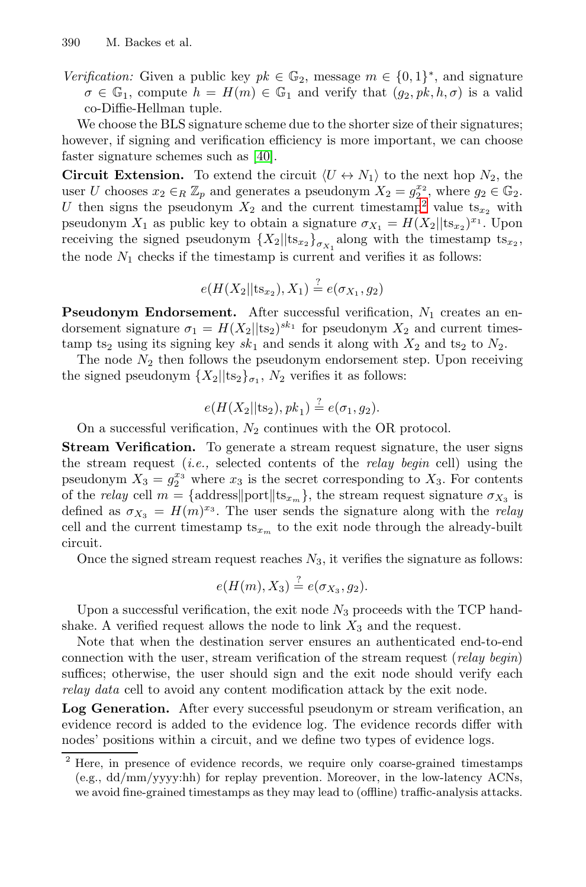*Verification:* Given a public key  $pk \in \mathbb{G}_2$  $pk \in \mathbb{G}_2$  $pk \in \mathbb{G}_2$ , message  $m \in \{0,1\}^*$ , and signature  $\sigma \in \mathbb{G}_1$ , compute  $h = H(m) \in \mathbb{G}_1$  and verify that  $(g_2, pk, h, \sigma)$  is a valid co-Diffie-Hellman tuple.

We choose the BLS signature scheme due to the shorter size of their signatures; however, if signing and verification efficiency is more important, we can choose faster signature schemes such as [40].

**Circuit Extension.** To extend the circuit  $\langle U \leftrightarrow N_1 \rangle$  to the next hop  $N_2$ , the user U chooses  $x_2 \in_R \mathbb{Z}_p$  and generates a pseudonym  $X_2 = g_2^{x_2}$ , where  $g_2 \in \mathbb{G}_2$ . U then signs the pseudonym  $X_2$  and the current timestamp<sup>2</sup> value ts<sub>x<sub>2</sub></sub> with pseudonym  $X_1$  as public key to obtain a signature  $\sigma_{X_1} = H(X_2 || \text{ts}_{x_2})^{x_1}$ . Upon receiving the signed pseudonym  ${X_2||ts_{x_2}}_{\sigma_{X_1}}$  along with the timestamp  $ts_{x_2}$ , the node  $N_1$  checks if the timestamp is current and verifies it as follows:

$$
e(H(X_2||\text{ts}_{x_2}), X_1) \stackrel{?}{=} e(\sigma_{X_1}, g_2)
$$

**Pseudonym Endorsement.** After successful verification,  $N_1$  creates an endorsement signature  $\sigma_1 = H(X_2||\text{ts}_2)^{sk_1}$  for pseudonym  $X_2$  and current timestamp ts<sub>2</sub> using its signing key  $sk_1$  and sends it along with  $X_2$  and ts<sub>2</sub> to  $N_2$ .

The node  $N_2$  then follows the pseudonym endorsement step. Upon receiving the signed pseudonym  ${X_2||ts_2}_{\sigma_1}$ ,  $N_2$  verifies it as follows:

$$
e(H(X_2||\text{ts}_2), pk_1) \stackrel{?}{=} e(\sigma_1, g_2).
$$

On a successful verification,  $N_2$  continues with the OR protocol.

**Stream Verification.** To generate a stream request signature, the user signs the stream request (*i.e.,* selected contents of the *relay begin* cell) using the pseudonym  $X_3 = g_2^{x_3}$  where  $x_3$  is the secret corresponding to  $X_3$ . For contents of the *relay* cell  $m = {\text{address}}||\text{port}||\text{ts}_{x_m}$ , the stream request signature  $\sigma_{X_3}$  is defined as  $\sigma_{X_3} = H(m)^{x_3}$ . The user sends the signature along with the *relay* cell and the current timestamp  $ts_{x_m}$  to the exit node through the already-built circuit.

<span id="page-10-0"></span>Once the signed stream request reaches  $N_3$ , it verifies the signature as follows:

$$
e(H(m), X_3) \stackrel{?}{=} e(\sigma_{X_3}, g_2).
$$

Upon a successful verification, the exit node  $N_3$  proceeds with the TCP handshake. A verified request allows the node to link  $X_3$  and the request.

Note that when the destination server ensures an authenticated end-to-end connection with the user, stream verification of the stream request (*relay begin*) suffices; otherwise, the user should sign and the exit node should verify each *relay data* cell to avoid any content modification attack by the exit node.

Log Generation. After every successful pseudonym or stream verification, an evidence record is added to the evidence log. The evidence records differ with nodes' positions within a circuit, and we define two types of evidence logs.

<sup>&</sup>lt;sup>2</sup> Here, in presence of evidence records, we require only coarse-grained timestamps (e.g., dd/mm/yyyy:hh) for replay prevention. Moreover, in the low-latency ACNs, we avoid fine-grained timestamps as they may lead to (offline) traffic-analysis attacks.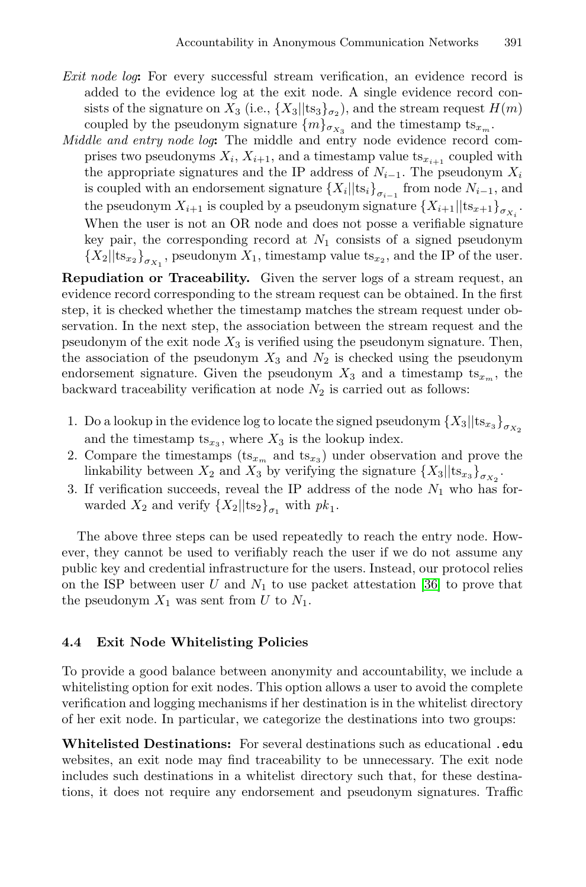- *Exit node log***:** For every successful stream verification, an evidence record is added to the evidence log at the exit node. A single evidence record consists of the signature on  $X_3$  (i.e.,  $\{X_3 \mid \text{ts}_3\}_{\sigma_2}$ ), and the stream request  $H(m)$ coupled by the pseudonym signature  $\{m\}_{\sigma_{X_3}}$  and the timestamp ts<sub>*xm*</sub>.
- *Middle and entry node log***:** The middle and entry node evidence record comprises two pseudonyms  $X_i, X_{i+1}$ , and a timestamp value  $ts_{x_{i+1}}$  coupled with the appropriate signatures and the IP address of  $N_{i-1}$ . The pseudonym  $X_i$ is coupled with an endorsement signature  ${X_i||ts_i}_{\sigma_{i-1}}$  from node  $N_{i-1}$ , and the pseudonym  $X_{i+1}$  is coupled by a pseudonym signature  $\{X_{i+1} | \text{ts}_{x+1}\}_{\sigma_{X_i}}$ . When the user is not an OR node and does not posse a verifiable signature key pair, the corresponding record at  $N_1$  consists of a signed pseudonym  ${X_2||ts_{x_2}}_{\sigma_{X_1}}$ , pseudonym  $X_1$ , timestamp value  $ts_{x_2}$ , and the IP of the user.

**Repudiation or Traceability.** Given the server logs of a stream request, an evidence record corresponding to the stream request can be obtained. In the first step, it is checked whether the timestamp matches the stream request under observation. In the next step, the association between the stream request and the pseudonym of the exit node  $X_3$  is verified using the pseudonym signature. Then, the association of the pseudonym  $X_3$  and  $N_2$  is checked using the pseudonym endorsement signature. Given the pseudonym  $X_3$  and a timestamp  $ts_{x_m}$ , the backward traceability verification at node  $N_2$  is carried out as follows:

- <span id="page-11-0"></span>1. Do a lookup in the evidence log to locate the signed pseudonym  ${X_3||ts_{x_3}}_{\sigma x_2}$ and the timestamp  $ts_{x_3}$ , where  $X_3$  is the lookup index.
- 2. Compare the timestamps  $(\text{ts}_{x_m} \text{ and } \text{ts}_{x_3})$  under observation and prove the linkability between  $X_2$  and  $X_3$  by verify[ing](#page-19-17) the signature  $\{X_3 \mid \text{ts}_{x_3}\}_{\sigma_{X_2}}$ .
- 3. If verification succeeds, reveal the IP address of the node  $N_1$  who has forwarded  $X_2$  and verify  $\{X_2 \mid |ts_2\}_{\sigma_1}$  with  $pk_1$ .

The above three steps can be used repeatedly to reach the entry node. However, they cannot be used to verifiably reach the user if we do not assume any public key and credential infrastructure for the users. Instead, our protocol relies on the ISP between user U and  $N_1$  to use packet attestation [36] to prove that the pseudonym  $X_1$  was sent from U to  $N_1$ .

### **4.4 Exit Node Whitelisting Policies**

To provide a good balance between anonymity and accountability, we include a whitelisting option for exit nodes. This option allows a user to avoid the complete verification and logging mechanisms if her destination is in the whitelist directory of her exit node. In particular, we categorize the destinations into two groups:

**Whitelisted Destinations:** For several destinations such as educational .edu websites, an exit node may find traceability to be unnecessary. The exit node includes such destinations in a whitelist directory such that, for these destinations, it does not require any endorsement and pseudonym signatures. Traffic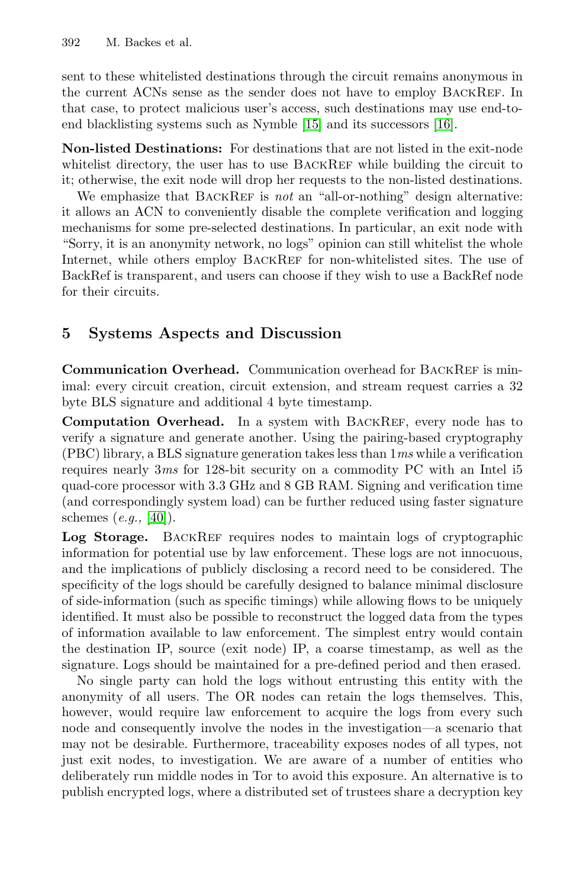<span id="page-12-0"></span>sent to these whitelisted destinations through the circuit remains anonymous in the current ACNs sense as the sender does not have to employ BackRef. In that case, to protect malicious user's access, such destinations may use end-toend blacklisting systems such as Nymble [15] and its successors [16].

**Non-listed Destinations:** For destinations that are not listed in the exit-node whitelist directory, the user has to use BACKREF while building the circuit to it; otherwise, the exit node will drop her requests to the non-listed destinations.

We emphasize that BACKREF is *not* an "all-or-nothing" design alternative: it allows an ACN to conveniently disable the complete verification and logging mechanisms for some pre-selected destinations. In particular, an exit node with "Sorry, it is an anonymity network, no logs" opinion can still whitelist the whole Internet, while others employ BACKREF for non-whitelisted sites. The use of BackRef is transparent, and users can choose if they wish to use a BackRef node for their circuits.

### **5 Systems Aspects and Discussion**

**Communication Overhead.** Communication overhead for BACKREF is minimal: every circuit creation, circuit extension, and stream request carries a 32 byte BLS signature and additional 4 byte timestamp.

**Computation Overhead.** In a system with BACKREF, every node has to verify a signature and generate another. Using the pairing-based cryptography (PBC) library, a BLS signature generation takes less than 1*ms* while a verification requires nearly 3*ms* for 128-bit security on a commodity PC with an Intel i5 quad-core processor with 3.3 GHz and 8 GB RAM. Signing and verification time (and correspondingly system load) can be further reduced using faster signature schemes (*e.g.,* [40]).

Log Storage. BACKREF requires nodes to maintain logs of cryptographic information for potential use by law enforcement. These logs are not innocuous, and the implications of publicly disclosing a record need to be considered. The specificity of the logs should be carefully designed to balance minimal disclosure of side-information (such as specific timings) while allowing flows to be uniquely identified. It must also be possible to reconstruct the logged data from the types of information available to law enforcement. The simplest entry would contain the destination IP, source (exit node) IP, a coarse timestamp, as well as the signature. Logs should be maintained for a pre-defined period and then erased.

No single party can hold the logs without entrusting this entity with the anonymity of all users. The OR nodes can retain the logs themselves. This, however, would require law enforcement to acquire the logs from every such node and consequently involve the nodes in the investigation—a scenario that may not be desirable. Furthermore, traceability exposes nodes of all types, not just exit nodes, to investigation. We are aware of a number of entities who deliberately run middle nodes in Tor to avoid this exposure. An alternative is to publish encrypted logs, where a distributed set of trustees share a decryption key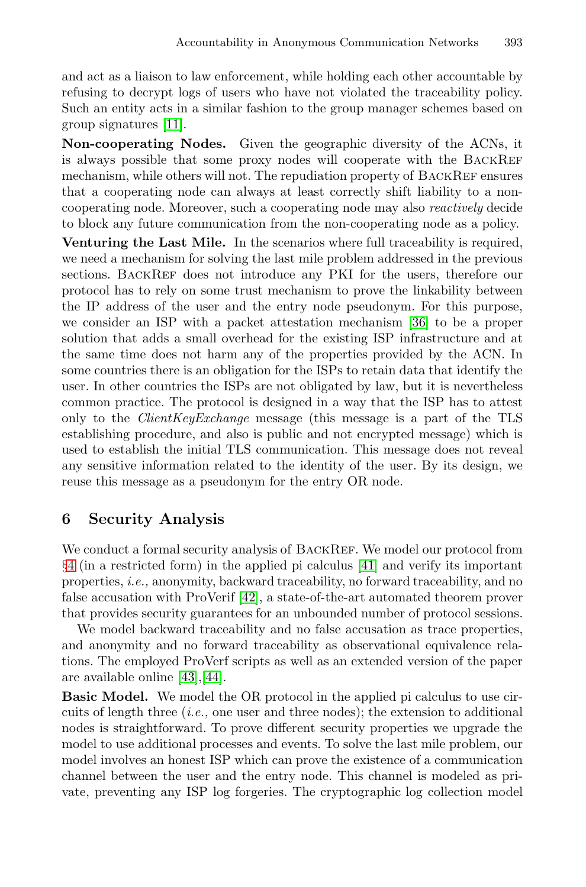and act as a liaison to law enforcement, while holding each other accountable by refusing to decrypt logs of users who have not violated the traceability policy. Such an entity acts in a similar fashion to the group manager schemes based on group signatures [11].

**Non-cooperating Nodes.** Given the geographic diversity of the ACNs, it is always possible that some proxy nodes will cooperate with the BackRef mechanism, while others will not. The repudiation property of BACKREF ensures that a cooperating node can always at least correctly shift liability to a noncooperating node. Moreover, such a coope[rati](#page-19-17)ng node may also *reactively* decide to block any future communication from the non-cooperating node as a policy.

**Venturing the Last Mile.** In the scenarios where full traceability is required, we need a mechanism for solving the last mile problem addressed in the previous sections. BACKREF does not introduce any PKI for the users, therefore our protocol has to rely on some trust mechanism to prove the linkability between the IP address of the user and the entry node pseudonym. For this purpose, we consider an ISP with a packet attestation mechanism [36] to be a proper solution that adds a small overhead for the existing ISP infrastructure and at the same time does not harm any of the properties provided by the ACN. In some countries there is an obligation for the ISPs to retain data that identify the user. In other countries the ISPs are not obligated by law, but it is nevertheless common practice. The protocol is designed in a way that the ISP has to attest only to the *ClientKeyExchange* message (this message is a part of the TLS establishing procedure, and also is public and not encrypted message) which is used to establish the initial TLS [com](#page-20-2)munication. This message does not reveal any sensitive information related to the identity of the user. By its design, we reuse this m[essa](#page-20-3)ge as a pseudonym for the entry OR node.

#### **6 Security Analysis**

W[e co](#page-20-4)[ndu](#page-20-5)ct a formal security analysis of BACKREF. We model our protocol from §4 (in a restricted form) in the applied pi calculus [41] and verify its important properties, *i.e.,* anonymity, backward traceability, no forward traceability, and no false accusation with ProVerif [42], a state-of-the-art automated theorem prover that provides security guarantees for an unbounded number of protocol sessions.

We model backward traceability and no false accusation as trace properties. and anonymity and no forward traceability as observational equivalence relations. The employed ProVerf scripts as well as an extended version of the paper are available online [43],[44].

**Basic Model.** We model the OR protocol in the applied pi calculus to use circuits of length three (*i.e.,* one user and three nodes); the extension to additional nodes is straightforward. To prove different security properties we upgrade the model to use additional processes and events. To solve the last mile problem, our model involves an honest ISP which can prove the existence of a communication channel between the user and the entry node. This channel is modeled as private, preventing any ISP log forgeries. The cryptographic log collection model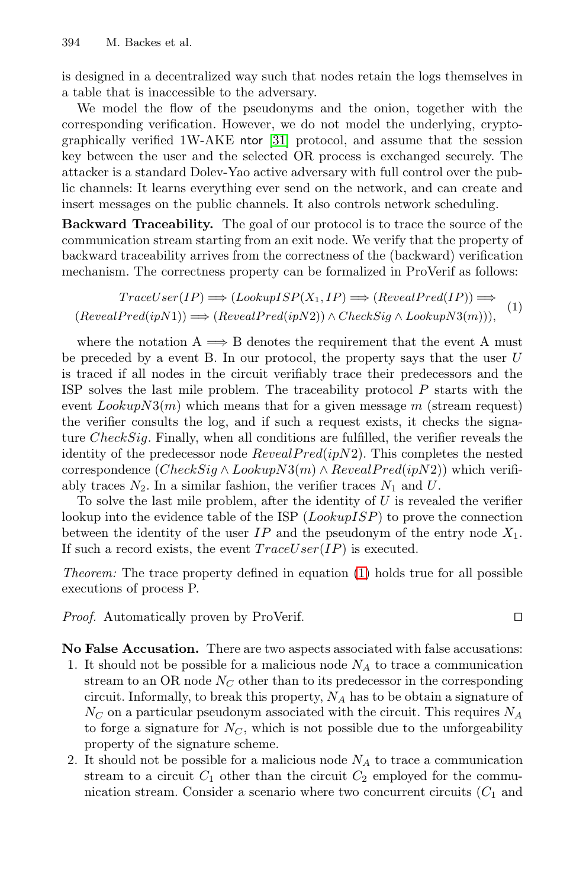<span id="page-14-0"></span>is designed in a decentralized way such that nodes retain the logs themselves in a table that is inaccessible to the adversary.

We model the flow of the pseudonyms and the onion, together with the corresponding verification. However, we do not model the underlying, cryptographically verified 1W-AKE ntor [31] protocol, and assume that the session key between the user and the selected OR process is exchanged securely. The attacker is a standard Dolev-Yao active adversary with full control over the public channels: It learns everything ever send on the network, and can create and insert messages on the public channels. It also controls network scheduling.

**Backward Traceability.** The goal of our protocol is to trace the source of the communication stream starting from an exit node. We verify that the property of backward traceability arrives from the correctness of the (backward) verification mechanism. The correctness property can be formalized in ProVerif as follows:

$$
TraceUser(ID) \Longrightarrow (LookupISP(X_1, IP) \Longrightarrow (RevealPred(ID)) \Longrightarrow (RevealPred(ipN1)) \Longrightarrow (RevealPred(ipN2)) \land CheckSig \land LookupN3(m))),
$$
 (1)

where the notation  $A \implies B$  denotes the requirement that the event A must be preceded by a event B. In our protocol, the property says that the user  $U$ is traced if all nodes in the circuit verifiably trace their predecessors and the ISP solves the last mile problem. The traceability protocol P starts with the event  $LookupN3(m)$  which means that for a given message m (stream request) the verifier consults the log, and if such a request exists, it checks the signature  $CheckSig$ . Finally, when all conditions are fulfilled, the verifier reveals the identity of the predecessor node  $RevealPred(ipN2)$  $RevealPred(ipN2)$ . This completes the nested correspondence  $(CheckSig \wedge Lookup Ng(m) \wedge RevealPred(ipN2))$  which verifiably traces  $N_2$ . In a similar fashion, the verifier traces  $N_1$  and U.

To solve the last mile problem, after the identity of  $U$  is revealed the verifier lookup into the evidence table of the ISP (LookupISP) to prove the connection between the identity of the user  $IP$  and the pseudonym of the entry node  $X_1$ . If such a record exists, the event  $TraceUser(ID)$  is executed.

*Theorem:* The trace property defined in equation (1) holds true for all possible executions of process P.

*Proof.* Automatically proven by ProVerif.

 $\Box$ 

- **No False Accusation.** There are two aspects associated with false accusations: 1. It should not be possible for a malicious node  $N_A$  to trace a communication stream to an OR node  $N_C$  other than to its predecessor in the corresponding circuit. Informally, to break this property,  $N_A$  has to be obtain a signature of  $N_C$  on a particular pseudonym associated with the circuit. This requires  $N_A$ to forge a signature for  $N_C$ , which is not possible due to the unforgeability property of the signature scheme.
- 2. It should not be possible for a malicious node  $N_A$  to trace a communication stream to a circuit  $C_1$  other than the circuit  $C_2$  employed for the communication stream. Consider a scenario where two concurrent circuits  $(C_1$  and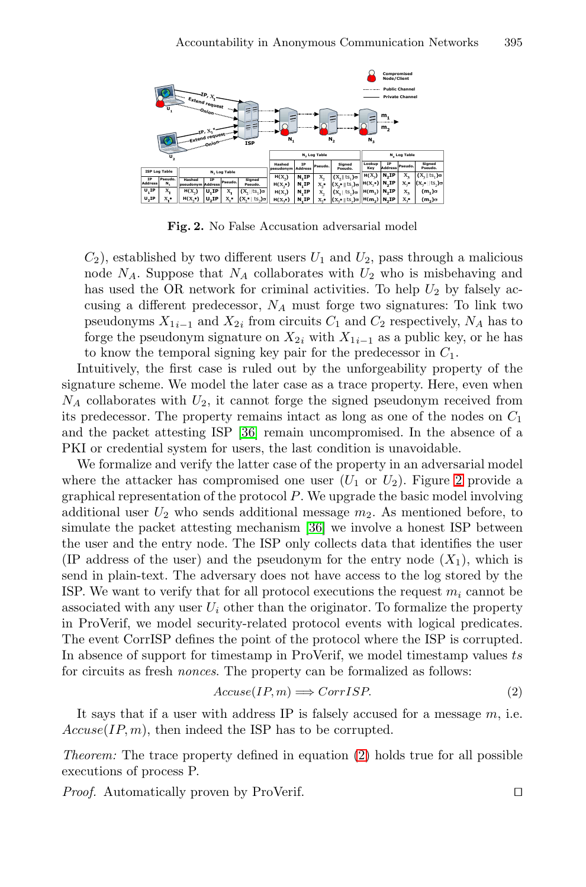<span id="page-15-0"></span>

**Fig. 2.** No False Accusation adversarial model

 $C_2$ , established by two different users  $U_1$  and  $U_2$ , pass through a malicious node  $N_A$ . Suppose that  $N_A$  collaborates with  $U_2$  who is misbehaving and has used the OR network for criminal activities. To help  $U_2$  by falsely accusing a [diff](#page-19-17)erent predecessor,  $N_A$  must forge two signatures: To link two pseudonyms  $X_{1i-1}$  and  $X_{2i}$  from circuits  $C_1$  and  $C_2$  respectively,  $N_A$  has to forge the pseudonym signature on  $X_{2i}$  with  $X_{1i-1}$  as a public key, or he has to know the temporal signing key [p](#page-15-0)air for the predecessor in  $C_1$ .

Intuitively, the first case is ruled out by the unforgeability property of the signature scheme. We model the later case as a trace property. Here, even when  $N_A$  collaborates with  $U_2$ [, it](#page-19-17) cannot forge the signed pseudonym received from its predecessor. The property remains intact as long as one of the nodes on  $C_1$ and the packet attesting ISP [36] remain uncompromised. In the absence of a PKI or credential system for users, the last condition is unavoidable.

<span id="page-15-1"></span>We formalize and verify the latter case of the property in an adversarial model where the attacker has compromised one user  $(U_1 \text{ or } U_2)$ . Figure 2 provide a graphical representation of the protocol P. We upgrade the basic model involving additional user  $U_2$  who sends additional message  $m_2$ . As mentioned before, to simulate the packet attesting mechanism [36] we involve a honest ISP between the user and the entry node. The ISP only collects data that identifies the user (IP address of the user) and the pseudonym for the entry node  $(X_1)$ , which is send in plain-text. The adversary does not have access to the log stored by the ISP. We want to verify that for all protocol executions the request  $m_i$  cannot be associated with any user  $U_i$  other than the originator. To formalize the property in ProVerif, we model security-related protocol events with logical predicates. The event CorrISP defines the p[oin](#page-15-1)t of the protocol where the ISP is corrupted. In absence of support for timestamp in ProVerif, we model timestamp values ts for circuits as fresh *nonces*. The property can be formalized as follows:

$$
Accuse(ID, m) \Longrightarrow CorrISP. \tag{2}
$$

It says that if a user with address IP is falsely accused for a message  $m$ , i.e.  $Accuse(IP, m)$ , then indeed the ISP has to be corrupted.

*Theorem:* The trace property defined in equation (2) holds true for all possible executions of process P.

*Proof.* Automatically proven by ProVerif.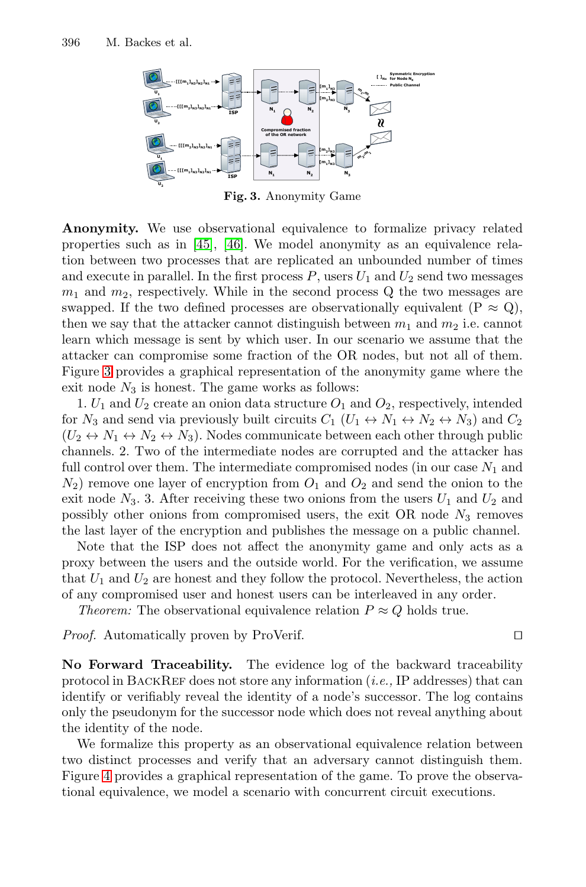

**Fig. 3.** Anonymity Game

**Anonymity.** We use observational equivalence to formalize privacy related properties such as in [45], [46]. We model anonymity as an equivalence relation between two processes that are replicated an unbounded number of times and execute in parallel. In the first process  $P$ , users  $U_1$  and  $U_2$  send two messages  $m_1$  and  $m_2$ , respectively. While in the second process Q the two messages are swapped. If the two defined processes are observationally equivalent ( $P \approx Q$ ), then we say that the attacker cannot distinguish between  $m_1$  and  $m_2$  i.e. cannot learn which message is sent by which user. In our scenario we assume that the attacker can compromise some fraction of the OR nodes, but not all of them. Figure 3 provides a graphical representation of the anonymity game where the exit node  $N_3$  is honest. The game works as follows:

1.  $U_1$  and  $U_2$  create an onion data structure  $O_1$  and  $O_2$ , respectively, intended for  $N_3$  and send via previously built circuits  $C_1$   $(U_1 \leftrightarrow N_1 \leftrightarrow N_2 \leftrightarrow N_3)$  and  $C_2$  $(U_2 \leftrightarrow N_1 \leftrightarrow N_2 \leftrightarrow N_3)$ . Nodes communicate between each other through public channels. 2. Two of the intermediate nodes are corrupted and the attacker has full control over them. The intermediate compromised nodes (in our case  $N_1$  and  $N_2$ ) remove one layer of encryption from  $O_1$  and  $O_2$  and send the onion to the exit node  $N_3$ . 3. After receiving these two onions from the users  $U_1$  and  $U_2$  and possibly other onions from compromised users, the exit OR node  $N_3$  removes the last layer of the encryption and publishes the message on a public channel.

Note that the ISP does not affect the anonymity game and only acts as a proxy between the users and the outside world. For the verification, we assume that  $U_1$  and  $U_2$  are honest and they follow the protocol. Nevertheless, the action of any compromised user and honest users can be interleaved in any order.

*Theorem:* The observational equivalence relation  $P \approx Q$  holds true.

*Proof.* Automatically proven by ProVerif.

 $\Box$ 

**No Forward Traceability.** The evidence log of the backward traceability protocol in BackRef does not store any information (*i.e.,* IP addresses) that can identify or verifiably reveal the identity of a node's successor. The log contains only the pseudonym for the successor node which does not reveal anything about the identity of the node.

We formalize this property as an observational equivalence relation between two distinct processes and verify that an adversary cannot distinguish them. Figure 4 provides a graphical representation of the game. To prove the observational equivalence, we model a scenario with concurrent circuit executions.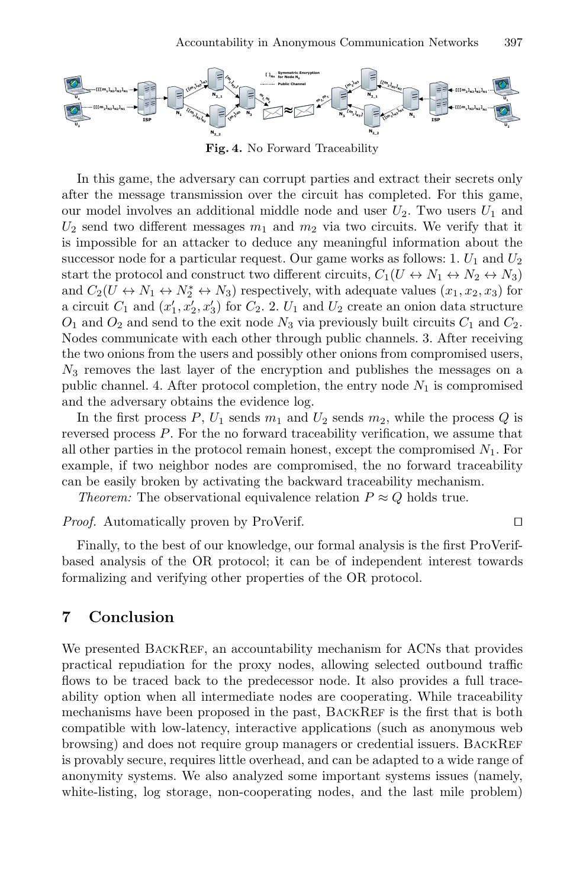

**Fig. 4.** No Forward Traceability

In this game, the adversary can corrupt parties and extract their secrets only after the message transmission over the circuit has completed. For this game, our model involves an additional middle node and user  $U_2$ . Two users  $U_1$  and  $U_2$  send two different messages  $m_1$  and  $m_2$  via two circuits. We verify that it is impossible for an attacker to deduce any meaningful information about the successor node for a particular request. Our game works as follows: 1.  $U_1$  and  $U_2$ start the protocol and construct two different circuits,  $C_1(U \leftrightarrow N_1 \leftrightarrow N_2 \leftrightarrow N_3)$ and  $C_2(U \leftrightarrow N_1 \leftrightarrow N_2^* \leftrightarrow N_3)$  respectively, with adequate values  $(x_1, x_2, x_3)$  for a circuit  $C_1$  and  $(x'_1, x'_2, x'_3)$  for  $C_2$ . 2.  $U_1$  and  $U_2$  create an onion data structure  $O_1$  and  $O_2$  and send to the exit node  $N_3$  via previously built circuits  $C_1$  and  $C_2$ . Nodes communicate with each other through public channels. 3. After receiving the two onions from the users and possibly other onions from compromised users,  $N_3$  removes the last layer of the encryption and publishes the messages on a public channel. 4. After protocol completion, the entry node  $N_1$  is compromised and the adversary obtains the evidence log.

In the first process  $P, U_1$  sends  $m_1$  and  $U_2$  sends  $m_2$ , while the process  $Q$  is reversed process P. For the no forward traceability verification, we assume that all other parties in the protocol remain honest, except the compromised  $N_1$ . For example, if two neighbor nodes are compromised, the no forward traceability can be easily broken by activating the backward traceability mechanism.

*Theorem:* The observational equivalence relation  $P \approx Q$  holds true.

*Proof.* Automatically proven by ProVerif.

Finally, to the best of our knowledge, our formal analysis is the first ProVerifbased analysis of the OR protocol; it can be of independent interest towards formalizing and verifying other properties of the OR protocol.

 $\Box$ 

### **7 Conclusion**

We presented BACKREF, an accountability mechanism for ACNs that provides practical repudiation for the proxy nodes, allowing selected outbound traffic flows to be traced back to the predecessor node. It also provides a full traceability option when all intermediate nodes are cooperating. While traceability mechanisms have been proposed in the past, BACKREF is the first that is both compatible with low-latency, interactive applications (such as anonymous web browsing) and does not require group managers or credential issuers. BackRef is provably secure, requires little overhead, and can be adapted to a wide range of anonymity systems. We also analyzed some important systems issues (namely, white-listing, log storage, non-cooperating nodes, and the last mile problem)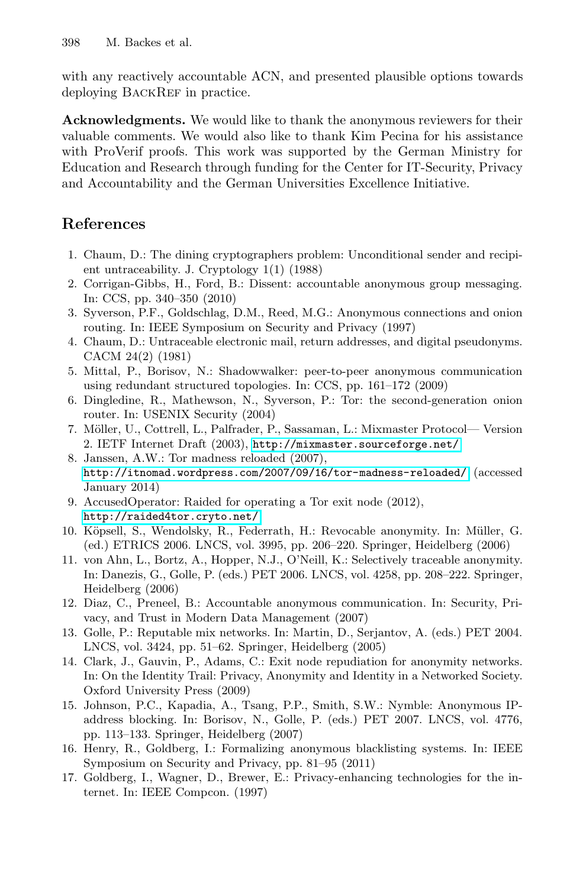<span id="page-18-14"></span><span id="page-18-2"></span><span id="page-18-1"></span><span id="page-18-0"></span>with any reactively accountable ACN, and presented plausible options towards deploying BACKREF in practice.

<span id="page-18-15"></span>**Acknowledgments.** We would like to thank the anonymous reviewers for their valuable comments. We would also like to thank Kim Pecina for his assistance with ProVerif proofs. This work was supported by the German Ministry for Education and Research through funding for the Center for IT-Security, Privacy and Accountability and the German Universities Excellence Initiative.

## <span id="page-18-13"></span><span id="page-18-3"></span>**References**

- <span id="page-18-4"></span>1. Chaum, D.: The dining cryptographers problem: Unconditional sender and recipient untraceability. J. Cryptology 1(1) (1988)
- <span id="page-18-5"></span>2. Corrigan-Gibbs, H., Ford, B.: Dissent: accountable anonymous group messaging. In: CCS, pp. 340–350 (2010)
- <span id="page-18-6"></span>3. Syverson, P.F., Goldschlag, D.M., Reed, M.G.: Anonymous connections and onion routing. In: [IEEE](http://mixmaster.sourceforge.net/) [Symposium](http://mixmaster.sourceforge.net/) [on](http://mixmaster.sourceforge.net/) [Security](http://mixmaster.sourceforge.net/) [and](http://mixmaster.sourceforge.net/) [Priv](http://mixmaster.sourceforge.net/)acy (1997)
- 4. Chaum, D.: Untraceable electronic mail, return addresses, and digital pseudonyms. [CACM 24\(2\) \(1981\)](http://itnomad.wordpress.com/2007/09/16/tor-madness-reloaded/)
- <span id="page-18-7"></span>5. Mittal, P., Borisov, N.: Shadowwalker: peer-to-peer anonymous communication using redundant structured topologies. In: CCS, pp. 161–172 (2009)
- <span id="page-18-8"></span>[6. Dingledine, R](http://raided4tor.cryto.net/)., Mathewson, N., Syverson, P.: Tor: the second-generation onion router. In: USENIX Security (2004)
- <span id="page-18-9"></span>7. Möller, U., Cottrell, L., Palfrader, P., Sassaman, L.: Mixmaster Protocol— Version 2. IETF Internet Draft (2003), http://mixmaster.sourceforge.net/
- <span id="page-18-10"></span>8. Janssen, A.W.: Tor madness reloaded (2007), http://itnomad.wordpress.com/2007/09/16/tor-madness-reloaded/ (accessed January 2014)
- <span id="page-18-11"></span>9. AccusedOperator: Raided for operating a Tor exit node (2012), http://raided4tor.cryto.net/
- <span id="page-18-12"></span>10. Köpsell, S., Wendolsky, R., Federrath, H.: Revocable anonymity. In: Müller, G. (ed.) ETRICS 2006. LNCS, vol. 3995, pp. 206–220. Springer, Heidelberg (2006)
- 11. von Ahn, L., Bortz, A., Hopper, N.J., O'Neill, K.: Selectively traceable anonymity. In: Danezis, G., Golle, P. (eds.) PET 2006. LNCS, vol. 4258, pp. 208–222. Springer, Heidelberg (2006)
- 12. Diaz, C., Preneel, B.: Accountable anonymous communication. In: Security, Privacy, and Trust in Modern Data Management (2007)
- 13. Golle, P.: Reputable mix networks. In: Martin, D., Serjantov, A. (eds.) PET 2004. LNCS, vol. 3424, pp. 51–62. Springer, Heidelberg (2005)
- 14. Clark, J., Gauvin, P., Adams, C.: Exit node repudiation for anonymity networks. In: On the Identity Trail: Privacy, Anonymity and Identity in a Networked Society. Oxford University Press (2009)
- 15. Johnson, P.C., Kapadia, A., Tsang, P.P., Smith, S.W.: Nymble: Anonymous IPaddress blocking. In: Borisov, N., Golle, P. (eds.) PET 2007. LNCS, vol. 4776, pp. 113–133. Springer, Heidelberg (2007)
- 16. Henry, R., Goldberg, I.: Formalizing anonymous blacklisting systems. In: IEEE Symposium on Security and Privacy, pp. 81–95 (2011)
- 17. Goldberg, I., Wagner, D., Brewer, E.: Privacy-enhancing technologies for the internet. In: IEEE Compcon. (1997)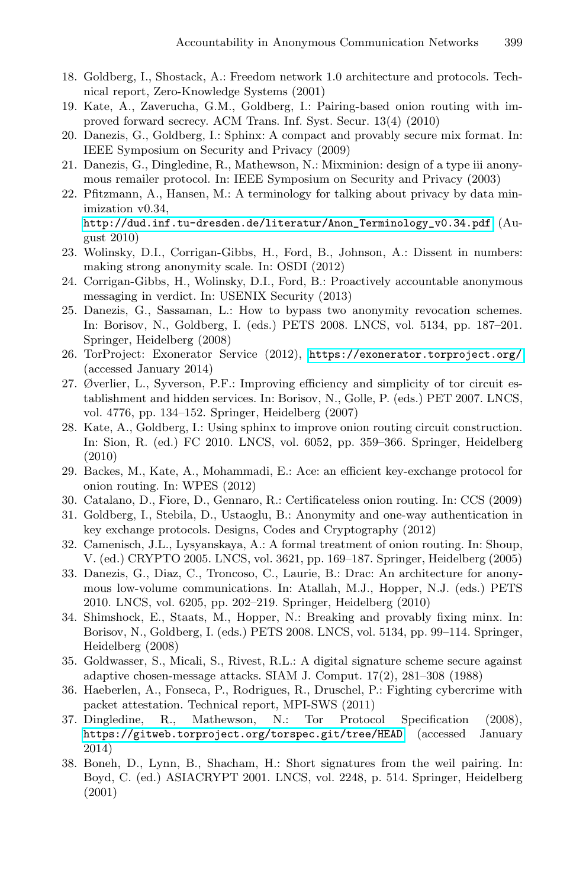- <span id="page-19-7"></span><span id="page-19-6"></span><span id="page-19-5"></span><span id="page-19-4"></span><span id="page-19-3"></span><span id="page-19-2"></span><span id="page-19-1"></span><span id="page-19-0"></span>18. Goldberg, I., Shostack, A.: Freedom network 1.0 architecture and protocols. Technical report, Zero-Knowledge Systems (2001)
- <span id="page-19-8"></span>[19. Kate, A., Zaverucha, G.M., Goldberg, I.: Pairing-based](http://dud.inf.tu-dresden.de/literatur/Anon_Terminology_v0.34.pdf) onion routing with improved forward secrecy. ACM Trans. Inf. Syst. Secur. 13(4) (2010)
- <span id="page-19-9"></span>20. Danezis, G., Goldberg, I.: Sphinx: A compact and provably secure mix format. In: IEEE Symposium on Security and Privacy (2009)
- 21. Danezis, G., Dingledine, R., Mathewson, N.: Mixminion: design of a type iii anonymous remailer protocol. In: IEEE Symposium on Security and Privacy (2003)
- <span id="page-19-10"></span>22. Pfitzmann, A., Hansen, M.: A terminology for talking about privacy by data minimization v0.34, http://dud.inf.tu-d[resden.de/literatur/Anon\\_Terminolog](https://exonerator.torproject.org/)y\_v0.34.pdf (August 2010)
- <span id="page-19-12"></span><span id="page-19-11"></span>23. Wolinsky, D.I., Corrigan-Gibbs, H., Ford, B., Johnson, A.: Dissent in numbers: making strong anonymity scale. In: OSDI (2012)
- <span id="page-19-13"></span>24. Corrigan-Gibbs, H., Wolinsky, D.I., Ford, B.: Proactively accountable anonymous messaging in verdict. In: USENIX Security (2013)
- <span id="page-19-15"></span><span id="page-19-14"></span>25. Danezis, G., Sassaman, L.: How to bypass two anonymity revocation schemes. In: Borisov, N., Goldberg, I. (eds.) PETS 2008. LNCS, vol. 5134, pp. 187–201. Springer, Heidelberg (2008)
- 26. TorProject: Exonerator Service (2012), https://exonerator.torproject.org/ (accessed January 2014)
- <span id="page-19-16"></span>27. Øverlier, L., Syverson, P.F.: Improving efficiency and simplicity of tor circuit establishment and hidden services. In: Borisov, N., Golle, P. (eds.) PET 2007. LNCS, vol. 4776, pp. 134–152. Springer, Heidelberg (2007)
- <span id="page-19-17"></span>28. Kate, A., Goldberg, I.: Using sphinx to improve onion routing circuit construction. In: Sion, R. (ed.) FC 2010. LNCS, vol. 6052, pp. 359–366. Springer, Heidelberg (2010)
- <span id="page-19-18"></span>29. Backes, M., Kate, A., Mohammadi, E.: Ace: an efficient key-exchange protocol for onion routing. In: WPES (2012)
- 30. Catalano, D., Fiore, D., Gennaro, R.: Certificateless onion routing. In: CCS (2009)
- <span id="page-19-19"></span>31. Goldberg, I., Stebila, D., Ustaoglu, B.: Anonymity and one-way authentication in key exchange protocols. Designs, Codes and Cryptography (2012)
- 32. Camenisch, J.L., Lysyanskaya, A.: A formal treatment of onion routing. In: Shoup, V. (ed.) CRYPTO 2005. LNCS, vol. 3621, pp. 169–187. Springer, Heidelberg (2005)
- 33. Danezis, G., Diaz, C., Troncoso, C., Laurie, B.: Drac: An architecture for anonymous low-volume communications. In: Atallah, M.J., Hopper, N.J. (eds.) PETS 2010. LNCS, vol. 6205, pp. 202–219. Springer, Heidelberg (2010)
- [34. Shimshock, E., Staats, M., Hopper, N.:](https://gitweb.torproject.org/torspec.git/tree/HEAD) Breaking and provably fixing minx. In: Borisov, N., Goldberg, I. (eds.) PETS 2008. LNCS, vol. 5134, pp. 99–114. Springer, Heidelberg (2008)
- 35. Goldwasser, S., Micali, S., Rivest, R.L.: A digital signature scheme secure against adaptive chosen-message attacks. SIAM J. Comput. 17(2), 281–308 (1988)
- 36. Haeberlen, A., Fonseca, P., Rodrigues, R., Druschel, P.: Fighting cybercrime with packet attestation. Technical report, MPI-SWS (2011)
- 37. Dingledine, R., Mathewson, N.: Tor Protocol Specification (2008), https://gitweb.torproject.org/torspec.git/tree/HEAD (accessed January 2014)
- 38. Boneh, D., Lynn, B., Shacham, H.: Short signatures from the weil pairing. In: Boyd, C. (ed.) ASIACRYPT 2001. LNCS, vol. 2248, p. 514. Springer, Heidelberg (2001)